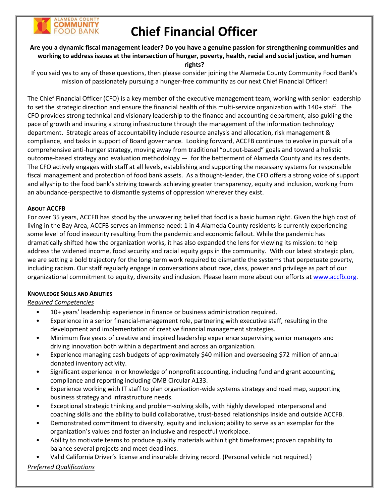

# **Chief Financial Officer**

## **Are you a dynamic fiscal management leader? Do you have a genuine passion for strengthening communities and working to address issues at the intersection of hunger, poverty, health, racial and social justice, and human rights?**

If you said yes to any of these questions, then please consider joining the Alameda County Community Food Bank's mission of passionately pursuing a hunger-free community as our next Chief Financial Officer!

The Chief Financial Officer (CFO) is a key member of the executive management team, working with senior leadership to set the strategic direction and ensure the financial health of this multi-service organization with 140+ staff. The CFO provides strong technical and visionary leadership to the finance and accounting department, also guiding the pace of growth and insuring a strong infrastructure through the management of the information technology department. Strategic areas of accountability include resource analysis and allocation, risk management & compliance, and tasks in support of Board governance. Looking forward, ACCFB continues to evolve in pursuit of a comprehensive anti-hunger strategy, moving away from traditional "output-based" goals and toward a holistic outcome-based strategy and evaluation methodology — for the betterment of Alameda County and its residents. The CFO actively engages with staff at all levels, establishing and supporting the necessary systems for responsible fiscal management and protection of food bank assets. As a thought-leader, the CFO offers a strong voice of support and allyship to the food bank's striving towards achieving greater transparency, equity and inclusion, working from an abundance-perspective to dismantle systems of oppression wherever they exist.

### **ABOUT ACCFB**

For over 35 years, ACCFB has stood by the unwavering belief that food is a basic human right. Given the high cost of living in the Bay Area, ACCFB serves an immense need: 1 in 4 Alameda County residents is currently experiencing some level of food insecurity resulting from the pandemic and economic fallout. While the pandemic has dramatically shifted how the organization works, it has also expanded the lens for viewing its mission: to help address the widened income, food security and racial equity gaps in the community. With our latest strategic plan, we are setting a bold trajectory for the long-term work required to dismantle the systems that perpetuate poverty, including racism. Our staff regularly engage in conversations about race, class, power and privilege as part of our organizational commitment to equity, diversity and inclusion. Please learn more about our efforts at [www.accfb.org.](http://www.accfb.org/)

### **KNOWLEDGE SKILLS AND ABILITIES**

## *Required Competencies*

- 10+ years' leadership experience in finance or business administration required.
- Experience in a senior financial-management role, partnering with executive staff, resulting in the development and implementation of creative financial management strategies.
- Minimum five years of creative and inspired leadership experience supervising senior managers and driving innovation both within a department and across an organization.
- Experience managing cash budgets of approximately \$40 million and overseeing \$72 million of annual donated inventory activity.
- Significant experience in or knowledge of nonprofit accounting, including fund and grant accounting, compliance and reporting including OMB Circular A133.
- Experience working with IT staff to plan organization-wide systems strategy and road map, supporting business strategy and infrastructure needs.
- Exceptional strategic thinking and problem-solving skills, with highly developed interpersonal and coaching skills and the ability to build collaborative, trust-based relationships inside and outside ACCFB.
- Demonstrated commitment to diversity, equity and inclusion; ability to serve as an exemplar for the organization's values and foster an inclusive and respectful workplace.
- Ability to motivate teams to produce quality materials within tight timeframes; proven capability to balance several projects and meet deadlines.
- Valid California Driver's license and insurable driving record. (Personal vehicle not required.)

# *Preferred Qualifications*